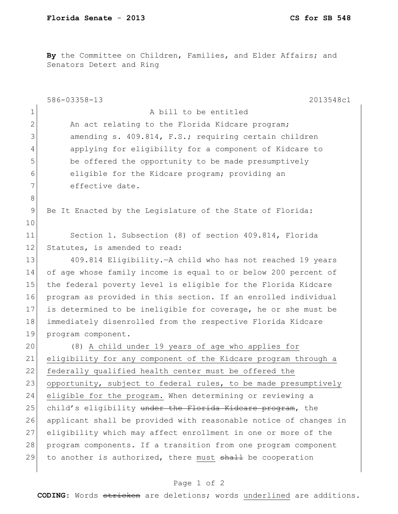**By** the Committee on Children, Families, and Elder Affairs; and Senators Detert and Ring

|                | 586-03358-13<br>2013548c1                                        |
|----------------|------------------------------------------------------------------|
| $\mathbf{1}$   | A bill to be entitled                                            |
| $\mathbf 2$    | An act relating to the Florida Kidcare program;                  |
| 3              | amending s. 409.814, F.S.; requiring certain children            |
| 4              | applying for eligibility for a component of Kidcare to           |
| 5              | be offered the opportunity to be made presumptively              |
| 6              | eligible for the Kidcare program; providing an                   |
| 7              | effective date.                                                  |
| $\,8\,$        |                                                                  |
| $\overline{9}$ | Be It Enacted by the Legislature of the State of Florida:        |
| 10             |                                                                  |
| 11             | Section 1. Subsection (8) of section 409.814, Florida            |
| 12             | Statutes, is amended to read:                                    |
| 13             | 409.814 Eligibility. - A child who has not reached 19 years      |
| 14             | of age whose family income is equal to or below 200 percent of   |
| 15             | the federal poverty level is eligible for the Florida Kidcare    |
| 16             | program as provided in this section. If an enrolled individual   |
| 17             | is determined to be ineligible for coverage, he or she must be   |
| 18             | immediately disenrolled from the respective Florida Kidcare      |
| 19             | program component.                                               |
| 20             | (8) A child under 19 years of age who applies for                |
| 21             | eligibility for any component of the Kidcare program through a   |
| 22             | federally qualified health center must be offered the            |
| 23             | opportunity, subject to federal rules, to be made presumptively  |
| 24             | eligible for the program. When determining or reviewing a        |
| 25             | child's eligibility under the Florida Kideare program, the       |
| 26             | applicant shall be provided with reasonable notice of changes in |
| 27             | eligibility which may affect enrollment in one or more of the    |
| 28             | program components. If a transition from one program component   |
| 29             | to another is authorized, there must shall be cooperation        |
|                |                                                                  |

## Page 1 of 2

**CODING**: Words stricken are deletions; words underlined are additions.